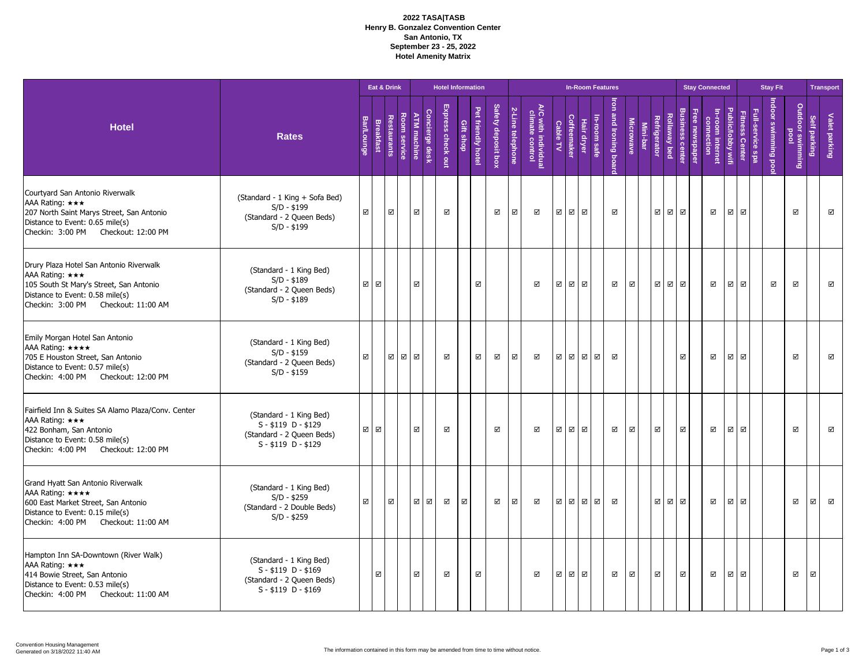## **2022 TASA|TASB Henry B. Gonzalez Convention Center San Antonio, TX September 23 - 25, 2022 Hotel Amenity Matrix**

|                                                                                                                                                                                 |                                                                                                      |                   |                         | Eat & Drink |                        |                         |                | <b>Hotel Information</b> |             |                         |                    |                  |                                        |                         |                |                | <b>In-Room Features</b> |                           |                  |          |                         |              |                         |              | <b>Stay Connected</b>  |                          |                         |                 | <b>Stay Fit</b>    |                             |                     | <b>Transport</b> |                         |
|---------------------------------------------------------------------------------------------------------------------------------------------------------------------------------|------------------------------------------------------------------------------------------------------|-------------------|-------------------------|-------------|------------------------|-------------------------|----------------|--------------------------|-------------|-------------------------|--------------------|------------------|----------------------------------------|-------------------------|----------------|----------------|-------------------------|---------------------------|------------------|----------|-------------------------|--------------|-------------------------|--------------|------------------------|--------------------------|-------------------------|-----------------|--------------------|-----------------------------|---------------------|------------------|-------------------------|
| <b>Hotel</b>                                                                                                                                                                    | <b>Rates</b>                                                                                         | <b>Bar/Lounge</b> | <b>Breakfast</b>        | Restaurants | <b>Room</b><br>service | <b>ATM</b> machine      | Concierge desk | Express check out        | Gift shop   | Pet friendly hotel      | Safety deposit box | 2-Line telephone | A/C with individual<br>climate control | Cable TV                | Coffeemaker    | Hair dryer     | In-room safe            | lron<br>and Ironing boarc | <b>Microwave</b> | Mini-bar | Refrig<br>rator         | Rollaway bed | <b>Business center</b>  | ee newspapel | connection<br>internet | <b>Public/lobby wifi</b> | <b>Fitness Center</b>   | -service<br>eds | Indoor swimming po | Outdoor<br>lood<br>swimming | <b>Self parking</b> | Valet parking    |                         |
| Courtyard San Antonio Riverwalk<br>AAA Rating: ***<br>207 North Saint Marys Street, San Antonio<br>Distance to Event: 0.65 mile(s)<br>Checkin: 3:00 PM Checkout: 12:00 PM       | (Standard - 1 King + Sofa Bed)<br>$S/D - $199$<br>(Standard - 2 Queen Beds)<br>$S/D - $199$          | $\boxtimes$       |                         | ☑           |                        | $\boxtimes$             |                | ☑                        |             |                         | ☑                  | ☑                | ☑                                      | ☑                       | $\boxdot$      | $\boxtimes$    |                         | ☑                         |                  |          | ⊠∣⊠                     |              | ☑                       |              | ☑                      | $\overline{\mathbb{M}}$  | $\boxtimes$             |                 |                    | $\boxdot$                   |                     |                  | $\blacksquare$          |
| Drury Plaza Hotel San Antonio Riverwalk<br>AAA Rating: ***<br>105 South St Mary's Street, San Antonio<br>Distance to Event: 0.58 mile(s)<br>Checkin: 3:00 PM Checkout: 11:00 AM | (Standard - 1 King Bed)<br>$S/D - $189$<br>(Standard - 2 Queen Beds)<br>$S/D - $189$                 |                   | ☑ ☑                     |             |                        | $\overline{\mathbb{M}}$ |                |                          |             | ☑                       |                    |                  | ☑                                      | $\boxtimes$             | ⊠⊠             |                |                         | ☑                         | ☑                |          |                         | ☑ ☑          | $\boxtimes$             |              | ☑                      | ☑                        | ☑                       |                 | ☑                  | $\boxtimes$                 |                     |                  | $\blacksquare$          |
| Emily Morgan Hotel San Antonio<br>AAA Rating: ****<br>705 E Houston Street, San Antonio<br>Distance to Event: 0.57 mile(s)<br>Checkin: 4:00 PM Checkout: 12:00 PM               | (Standard - 1 King Bed)<br>$S/D - $159$<br>(Standard - 2 Queen Beds)<br>$S/D - $159$                 | ☑                 |                         |             | ☑ ☑ ☑                  |                         |                | ☑                        |             | $\overline{\mathsf{v}}$ | $\Delta$           | ☑                | ☑                                      |                         |                | <b>2</b> 2 2 2 |                         | ☑                         |                  |          |                         |              | ☑                       |              | ☑                      | $\blacksquare$           | $\overline{\mathbf{M}}$ |                 |                    | ☑                           |                     |                  | $\boxtimes$             |
| Fairfield Inn & Suites SA Alamo Plaza/Conv. Center<br>AAA Rating: ***<br>422 Bonham, San Antonio<br>Distance to Event: 0.58 mile(s)<br>Checkin: 4:00 PM Checkout: 12:00 PM      | (Standard - 1 King Bed)<br>$S - $119$ D - \$129<br>(Standard - 2 Queen Beds)<br>$S - $119$ D - \$129 |                   | ☑ ☑                     |             |                        | $\overline{\mathbb{M}}$ |                | ☑                        |             |                         | ☑                  |                  | ☑                                      | $\overline{\mathbf{M}}$ | ☑ ☑            |                |                         | ☑                         | $\boxtimes$      |          | $\overline{\mathbf{v}}$ |              | $\overline{\mathsf{v}}$ |              | ☑                      | $\blacksquare$           | $\blacksquare$          |                 |                    | ☑                           |                     |                  | $\overline{\mathbf{N}}$ |
| Grand Hyatt San Antonio Riverwalk<br>AAA Rating: ****<br>600 East Market Street, San Antonio<br>Distance to Event: 0.15 mile(s)<br>Checkin: 4:00 PM Checkout: 11:00 AM          | (Standard - 1 King Bed)<br>$S/D - $259$<br>(Standard - 2 Double Beds)<br>$S/D - $259$                | $\boxtimes$       |                         | ☑           |                        | $\triangledown$         | $\boxtimes$    | ☑                        | $\boxtimes$ |                         | ☑                  | ☑                | ☑                                      |                         |                | ØØØØ           |                         | ☑                         |                  |          |                         | ☑ ☑          | ☑                       |              | ☑                      | $\overline{\mathbb{M}}$  | ☑                       |                 |                    | ☑                           | ☑                   | $\boxtimes$      |                         |
| Hampton Inn SA-Downtown (River Walk)<br>AAA Rating: ***<br>414 Bowie Street, San Antonio<br>Distance to Event: 0.53 mile(s)<br>Checkin: 4:00 PM Checkout: 11:00 AM              | (Standard - 1 King Bed)<br>$S - $119$ D - \$169<br>(Standard - 2 Queen Beds)<br>$S - $119$ D - \$169 |                   | $\overline{\mathbf{v}}$ |             |                        | $\overline{\mathsf{M}}$ |                | ☑                        |             | ☑                       |                    |                  | ☑                                      | ☑                       | $\blacksquare$ | $\boxtimes$    |                         | $\blacksquare$            | $\blacksquare$   |          | $\boxtimes$             |              | $\overline{\mathsf{v}}$ |              | ☑                      | $\overline{\mathbf{v}}$  | ☑                       |                 |                    | ☑                           | ☑                   |                  |                         |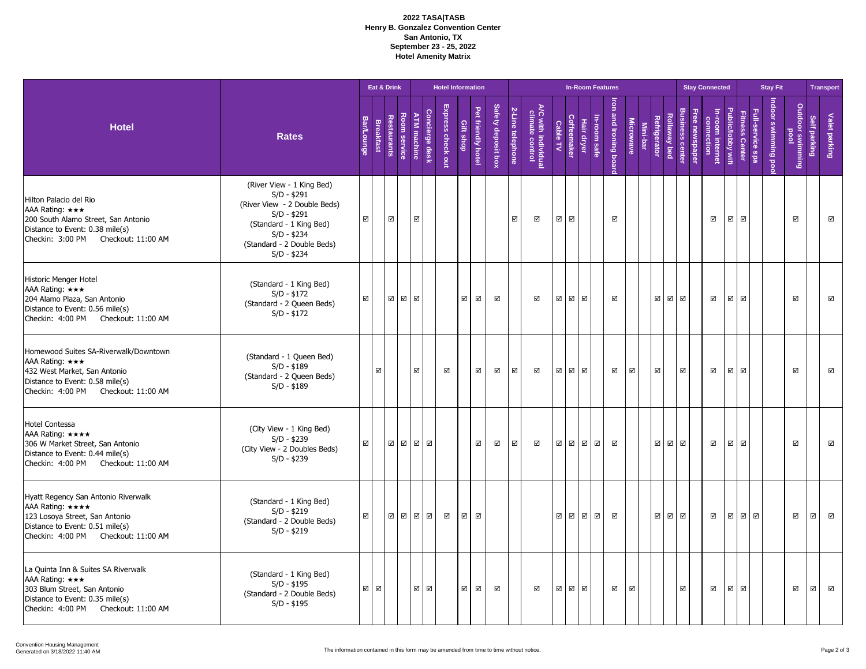## **2022 TASA|TASB Henry B. Gonzalez Convention Center San Antonio, TX September 23 - 25, 2022 Hotel Amenity Matrix**

|                                                                                                                                                                        |                                                                                                                                                                                    |                         |                         | Eat & Drink    |              |                         |                | <b>Hotel Information</b> |                         |                         |                         |                         |                                        |                         |                         |             | <b>In-Room Features</b> |                                   |                         |          |                     |              |                                    | <b>Stay Connected</b>        |                         |                         |                | <b>Stay Fit</b>     |                             |                         | <b>Transport</b>        |
|------------------------------------------------------------------------------------------------------------------------------------------------------------------------|------------------------------------------------------------------------------------------------------------------------------------------------------------------------------------|-------------------------|-------------------------|----------------|--------------|-------------------------|----------------|--------------------------|-------------------------|-------------------------|-------------------------|-------------------------|----------------------------------------|-------------------------|-------------------------|-------------|-------------------------|-----------------------------------|-------------------------|----------|---------------------|--------------|------------------------------------|------------------------------|-------------------------|-------------------------|----------------|---------------------|-----------------------------|-------------------------|-------------------------|
| <b>Hotel</b>                                                                                                                                                           | <b>Rates</b>                                                                                                                                                                       | <b>Bar/Lounge</b>       | <b>Breakfast</b>        | Restaurants    | ᇮ<br>service | <b>ATM</b> machine      | Concierge desk | Express check out        | Gift shop               | Pet friendly hotel      | Safety deposit box      | 2-Line telephone        | A/C with individual<br>climate control | Cable TV                | Coffeemaker             | Hair dryer  | In-room safe            | <b>I</b> ron<br>and Ironing board | <b>Microwave</b>        | Mini-bar | <b>Refrigerator</b> | Rollaway bed | <b>Business center</b><br>newspape | -room internet<br>connection | Public/lobby wifi       | Fitness Center          | service<br>eds | Indoor swimming poo | Outdoor<br>pool<br>gwimming | <b>Self parking</b>     | Valet parking           |
| Hilton Palacio del Rio<br>AAA Rating: ***<br>200 South Alamo Street, San Antonio<br>Distance to Event: 0.38 mile(s)<br>Checkin: 3:00 PM Checkout: 11:00 AM             | (River View - 1 King Bed)<br>$S/D - $291$<br>(River View - 2 Double Beds)<br>$S/D - $291$<br>(Standard - 1 King Bed)<br>$S/D - $234$<br>(Standard - 2 Double Beds)<br>$S/D - $234$ | $\overline{\mathbf{v}}$ |                         | $\blacksquare$ |              | $\overline{\mathsf{M}}$ |                |                          |                         |                         |                         | $\overline{\mathbb{M}}$ | $\blacksquare$                         | $\overline{\mathbf{M}}$ | $\overline{\mathbf{N}}$ |             |                         | $\overline{\mathsf{v}}$           |                         |          |                     |              |                                    | ☑                            | $\overline{\mathbb{Z}}$ | $\blacksquare$          |                |                     | $\boxdot$                   |                         | $\boxtimes$             |
| Historic Menger Hotel<br>AAA Rating: ***<br>204 Alamo Plaza, San Antonio<br>Distance to Event: 0.56 mile(s)<br>Checkin: 4:00 PM Checkout: 11:00 AM                     | (Standard - 1 King Bed)<br>$S/D - $172$<br>(Standard - 2 Queen Beds)<br>$S/D - $172$                                                                                               | $\overline{\mathbb{M}}$ |                         | ⊠⊠⊠            |              |                         |                |                          | $\boxtimes$             | ☑                       | ☑                       |                         | ☑                                      | ☑                       |                         | ☑ ☑         |                         | $\overline{\mathbb{Z}}$           |                         |          | $\blacksquare$      | ☑ ☑          |                                    | ☑                            | $\overline{\mathbb{M}}$ | $\boxtimes$             |                |                     | $\boxtimes$                 |                         | $\boxdot$               |
| Homewood Suites SA-Riverwalk/Downtown<br>AAA Rating: ***<br>432 West Market, San Antonio<br>Distance to Event: 0.58 mile(s)<br>Checkin: 4:00 PM Checkout: 11:00 AM     | (Standard - 1 Queen Bed)<br>$S/D - $189$<br>(Standard - 2 Queen Beds)<br>$S/D - $189$                                                                                              |                         | $\overline{\mathbf{v}}$ |                |              | $\overline{\mathsf{v}}$ |                | $\boxtimes$              |                         | $\overline{\mathbf{v}}$ | $\overline{\mathsf{M}}$ | $\overline{\mathbf{v}}$ | $\blacktriangledown$                   | $\overline{\mathbf{v}}$ |                         | ☑ ☑         |                         | $\overline{\mathsf{v}}$           | $\overline{\mathbb{M}}$ |          | $\boxtimes$         |              | $\boxtimes$                        | ☑                            | $\blacktriangledown$    | $\overline{\mathsf{v}}$ |                |                     | ☑                           |                         | $\overline{\mathbf{v}}$ |
| <b>Hotel Contessa</b><br>AAA Rating: ****<br>306 W Market Street, San Antonio<br>Distance to Event: 0.44 mile(s)<br>Checkin: 4:00 PM<br>Checkout: 11:00 AM             | (City View - 1 King Bed)<br>$S/D - $239$<br>(City View - 2 Doubles Beds)<br>$S/D - $239$                                                                                           | $\overline{\mathbb{M}}$ |                         | ØØØØ           |              |                         |                |                          |                         | ☑                       | $\overline{\mathsf{M}}$ | $\overline{\mathbf{v}}$ | ☑                                      | $\overline{\mathbf{v}}$ |                         | ☑ ☑         | $\blacksquare$          | ☑                                 |                         |          | $\boxtimes$         | ☑ ☑          |                                    | ☑                            | $\overline{\mathbf{v}}$ | $\overline{\mathsf{v}}$ |                |                     | ☑                           |                         | $\blacksquare$          |
| Hyatt Regency San Antonio Riverwalk<br>AAA Rating: ****<br>123 Losoya Street, San Antonio<br>Distance to Event: 0.51 mile(s)<br>Checkin: 4:00 PM<br>Checkout: 11:00 AM | (Standard - 1 King Bed)<br>$S/D - $219$<br>(Standard - 2 Double Beds)<br>$S/D - $219$                                                                                              | ☑                       |                         | ⊠⊠⊠            |              |                         | $\blacksquare$ | $\boxtimes$              | $\boxtimes$             | ☑                       |                         |                         |                                        | ☑                       |                         | $\boxtimes$ | $\blacksquare$          | $\blacktriangledown$              |                         |          | ☑                   | ☑ ☑          |                                    | ☑                            | ☑                       |                         | ☑ ☑            |                     | ☑                           | $\overline{\mathsf{v}}$ | $\blacksquare$          |
| La Quinta Inn & Suites SA Riverwalk<br>AAA Rating: ***<br>303 Blum Street, San Antonio<br>Distance to Event: 0.35 mile(s)<br>Checkin: 4:00 PM Checkout: 11:00 AM       | (Standard - 1 King Bed)<br>$S/D - $195$<br>(Standard - 2 Double Beds)<br>$S/D - $195$                                                                                              | $\blacksquare$          | $\blacksquare$          |                |              | $\boxtimes$             | $\boxtimes$    |                          | $\overline{\mathbf{M}}$ | $\overline{\mathbf{v}}$ | ☑                       |                         | ☑                                      | $\overline{\mathbf{v}}$ |                         | ☑ ☑         |                         | $\overline{\mathsf{M}}$           | $\boxtimes$             |          |                     |              | $\boxtimes$                        | $\overline{\mathsf{M}}$      | $\overline{\mathbf{v}}$ | $\overline{\mathsf{v}}$ |                |                     | ☑                           | $\overline{\mathsf{v}}$ | $\blacksquare$          |